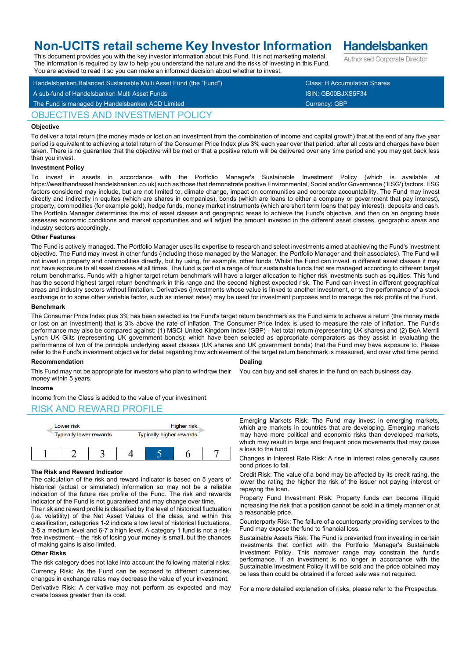# **Non-UCITS retail scheme Key Investor Information**

This document provides you with the key investor information about this Fund. It is not marketing material. The information is required by law to help you understand the nature and the risks of investing in this Fund.

Handelsbanken Balanced Sustainable Multi Asset Fund (the "Fund") Class: H Accumulation Shares A sub-fund of Handelsbanken Multi Asset Funds ISIN: GB00BJXS5F34 You are advised to read it so you can make an informed decision about whether to invest.

## OBJECTIVES AND INVESTMENT POLICY

## **Objective**

To deliver a total return (the money made or lost on an investment from the combination of income and capital growth) that at the end of any five year period is equivalent to achieving a total return of the Consumer Price Index plus 3% each year over that period, after all costs and charges have been taken. There is no guarantee that the objective will be met or that a positive return will be delivered over any time period and you may get back less than you invest.

## **Investment Policy**

To invest in assets in accordance with the Portfolio Manager's Sustainable Investment Policy (which is available https://wealthandasset.handelsbanken.co.uk) such as those that demonstrate positive Environmental, Social and/or Governance ('ESG') factors. ESG factors considered may include, but are not limited to, climate change, impact on communities and corporate accountability. The Fund may invest directly and indirectly in equites (which are shares in companies), bonds (which are loans to either a company or government that pay interest), property, commodities (for example gold), hedge funds, money market instruments (which are short term loans that pay interest), deposits and cash. The Portfolio Manager determines the mix of asset classes and geographic areas to achieve the Fund's objective, and then on an ongoing basis assesses economic conditions and market opportunities and will adjust the amount invested in the different asset classes, geographic areas and industry sectors accordingly.

#### **Other Features**

The Fund is actively managed. The Portfolio Manager uses its expertise to research and select investments aimed at achieving the Fund's investment objective. The Fund may invest in other funds (including those managed by the Manager, the Portfolio Manager and their associates). The Fund will not invest in property and commodities directly, but by using, for example, other funds. Whilst the Fund can invest in different asset classes it may not have exposure to all asset classes at all times. The fund is part of a range of four sustainable funds that are managed according to different target return benchmarks. Funds with a higher target return benchmark will have a larger allocation to higher risk investments such as equities. This fund has the second highest target return benchmark in this range and the second highest expected risk. The Fund can invest in different geographical areas and industry sectors without limitation. Derivatives (investments whose value is linked to another investment, or to the performance of a stock exchange or to some other variable factor, such as interest rates) may be used for investment purposes and to manage the risk profile of the Fund.

#### **Benchmark**

The Consumer Price Index plus 3% has been selected as the Fund's target return benchmark as the Fund aims to achieve a return (the money made or lost on an investment) that is 3% above the rate of inflation. The Consumer Price Index is used to measure the rate of inflation. The Fund's performance may also be compared against: (1) MSCI United Kingdom Index (GBP) - Net total return (representing UK shares) and (2) BoA Merrill Lynch UK Gilts (representing UK government bonds); which have been selected as appropriate comparators as they assist in evaluating the performance of two of the principle underlying asset classes (UK shares and UK government bonds) that the Fund may have exposure to. Please refer to the Fund's investment objective for detail regarding how achievement of the target return benchmark is measured, and over what time period.

## **Recommendation**

**Dealing**

You can buy and sell shares in the fund on each business day.

## money within 5 years.

## **Income**

Income from the Class is added to the value of your investment.

## RISK AND REWARD PROFILE



This Fund may not be appropriate for investors who plan to withdraw their

## **The Risk and Reward Indicator**

The calculation of the risk and reward indicator is based on 5 years of historical (actual or simulated) information so may not be a reliable indication of the future risk profile of the Fund. The risk and rewards indicator of the Fund is not guaranteed and may change over time.

The risk and reward profile is classified by the level of historical fluctuation (i.e. volatility) of the Net Asset Values of the class, and within this classification, categories 1-2 indicate a low level of historical fluctuations, 3-5 a medium level and 6-7 a high level. A category 1 fund is not a riskfree investment – the risk of losing your money is small, but the chances of making gains is also limited.

## **Other Risks**

The risk category does not take into account the following material risks: Currency Risk: As the Fund can be exposed to different currencies, changes in exchange rates may decrease the value of your investment.

Derivative Risk: A derivative may not perform as expected and may create losses greater than its cost.

Emerging Markets Risk: The Fund may invest in emerging markets, which are markets in countries that are developing. Emerging markets may have more political and economic risks than developed markets, which may result in large and frequent price movements that may cause a loss to the fund.

Changes in Interest Rate Risk: A rise in interest rates generally causes bond prices to fall.

Credit Risk: The value of a bond may be affected by its credit rating, the lower the rating the higher the risk of the issuer not paying interest or repaying the loan.

Property Fund Investment Risk: Property funds can become illiquid increasing the risk that a position cannot be sold in a timely manner or at a reasonable price.

Counterparty Risk: The failure of a counterparty providing services to the Fund may expose the fund to financial loss.

Sustainable Assets Risk: The Fund is prevented from investing in certain investments that conflict with the Portfolio Manager's Sustainable Investment Policy. This narrower range may constrain the fund's performance. If an investment is no longer in accordance with the Sustainable Investment Policy it will be sold and the price obtained may be less than could be obtained if a forced sale was not required.

For a more detailed explanation of risks, please refer to the Prospectus.

**Handelsbanken** Authorised Corporate Director

The Fund is managed by Handelsbanken ACD Limited Currency: GBP Currency: GBP